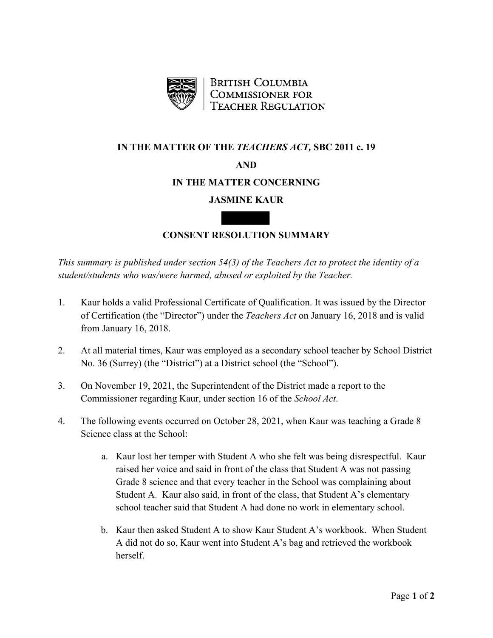

**BRITISH COLUMBIA COMMISSIONER FOR TEACHER REGULATION** 

## **IN THE MATTER OF THE** *TEACHERS ACT,* **SBC 2011 c. 19**

# **AND**

# **IN THE MATTER CONCERNING**

# **JASMINE KAUR**

# **CONSENT RESOLUTION SUMMARY**

*This summary is published under section 54(3) of the Teachers Act to protect the identity of a student/students who was/were harmed, abused or exploited by the Teacher.*

- 1. Kaur holds a valid Professional Certificate of Qualification. It was issued by the Director of Certification (the "Director") under the *Teachers Act* on January 16, 2018 and is valid from January 16, 2018.
- 2. At all material times, Kaur was employed as a secondary school teacher by School District No. 36 (Surrey) (the "District") at a District school (the "School").
- 3. On November 19, 2021, the Superintendent of the District made a report to the Commissioner regarding Kaur, under section 16 of the *School Act*.
- 4. The following events occurred on October 28, 2021, when Kaur was teaching a Grade 8 Science class at the School:
	- a. Kaur lost her temper with Student A who she felt was being disrespectful. Kaur raised her voice and said in front of the class that Student A was not passing Grade 8 science and that every teacher in the School was complaining about Student A. Kaur also said, in front of the class, that Student A's elementary school teacher said that Student A had done no work in elementary school.
	- b. Kaur then asked Student A to show Kaur Student A's workbook. When Student A did not do so, Kaur went into Student A's bag and retrieved the workbook herself.